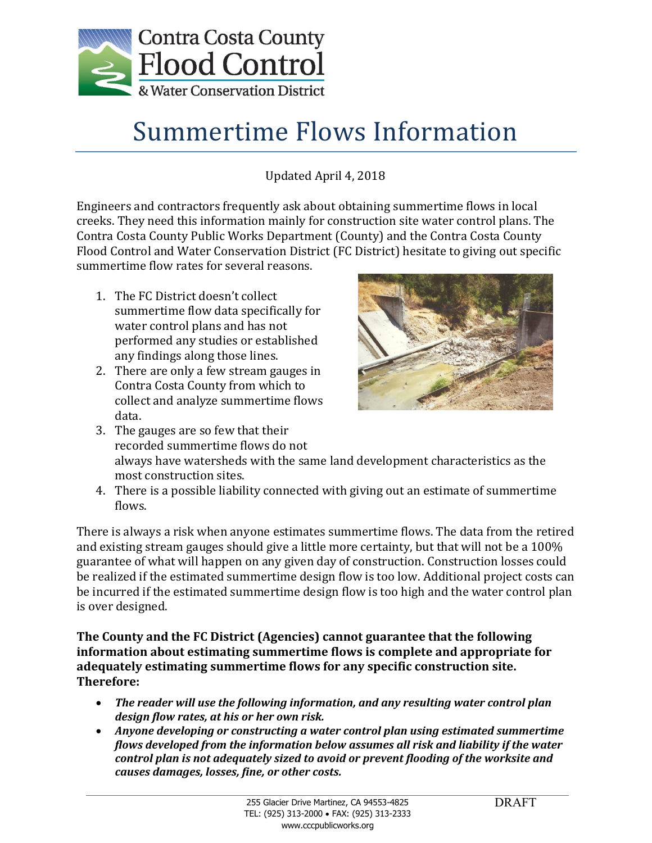

# Summertime Flows Information

Updated April 4, 2018

Engineers and contractors frequently ask about obtaining summertime flows in local creeks. They need this information mainly for construction site water control plans. The Contra Costa County Public Works Department (County) and the Contra Costa County Flood Control and Water Conservation District (FC District) hesitate to giving out specific summertime flow rates for several reasons.

- 1. The FC District doesn't collect summertime flow data specifically for water control plans and has not performed any studies or established any findings along those lines.
- 2. There are only a few stream gauges in Contra Costa County from which to collect and analyze summertime flows data.



- 3. The gauges are so few that their recorded summertime flows do not always have watersheds with the same land development characteristics as the most construction sites.
- 4. There is a possible liability connected with giving out an estimate of summertime flows.

There is always a risk when anyone estimates summertime flows. The data from the retired and existing stream gauges should give a little more certainty, but that will not be a 100% guarantee of what will happen on any given day of construction. Construction losses could be realized if the estimated summertime design flow is too low. Additional project costs can be incurred if the estimated summertime design flow is too high and the water control plan is over designed.

**The County and the FC District (Agencies) cannot guarantee that the following information about estimating summertime flows is complete and appropriate for adequately estimating summertime flows for any specific construction site. Therefore:**

- *The reader will use the following information, and any resulting water control plan design flow rates, at his or her own risk.*
- *Anyone developing or constructing a water control plan using estimated summertime flows developed from the information below assumes all risk and liability if the water control plan is not adequately sized to avoid or prevent flooding of the worksite and causes damages, losses, fine, or other costs.*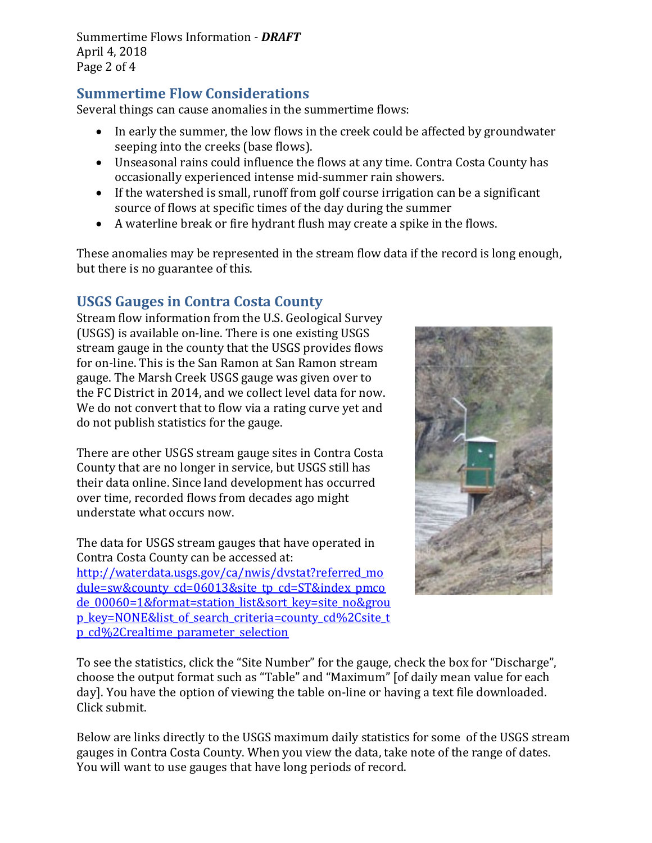Summertime Flows Information - *DRAFT* April 4, 2018 Page 2 of 4

## **Summertime Flow Considerations**

Several things can cause anomalies in the summertime flows:

- In early the summer, the low flows in the creek could be affected by groundwater seeping into the creeks (base flows).
- Unseasonal rains could influence the flows at any time. Contra Costa County has occasionally experienced intense mid-summer rain showers.
- If the watershed is small, runoff from golf course irrigation can be a significant source of flows at specific times of the day during the summer
- A waterline break or fire hydrant flush may create a spike in the flows.

These anomalies may be represented in the stream flow data if the record is long enough, but there is no guarantee of this.

## **USGS Gauges in Contra Costa County**

Stream flow information from the U.S. Geological Survey (USGS) is available on-line. There is one existing USGS stream gauge in the county that the USGS provides flows for on-line. This is the San Ramon at San Ramon stream gauge. The Marsh Creek USGS gauge was given over to the FC District in 2014, and we collect level data for now. We do not convert that to flow via a rating curve yet and do not publish statistics for the gauge.

There are other USGS stream gauge sites in Contra Costa County that are no longer in service, but USGS still has their data online. Since land development has occurred over time, recorded flows from decades ago might understate what occurs now.

The data for USGS stream gauges that have operated in Contra Costa County can be accessed at: [http://waterdata.usgs.gov/ca/nwis/dvstat?referred\\_mo](http://waterdata.usgs.gov/ca/nwis/dvstat?referred_module=sw&county_cd=06013&site_tp_cd=ST&index_pmcode_00060=1&format=station_list&sort_key=site_no&group_key=NONE&list_of_search_criteria=county_cd%2Csite_tp_cd%2Crealtime_parameter_selection) [dule=sw&county\\_cd=06013&site\\_tp\\_cd=ST&index\\_pmco](http://waterdata.usgs.gov/ca/nwis/dvstat?referred_module=sw&county_cd=06013&site_tp_cd=ST&index_pmcode_00060=1&format=station_list&sort_key=site_no&group_key=NONE&list_of_search_criteria=county_cd%2Csite_tp_cd%2Crealtime_parameter_selection) de 00060=1&format=station\_list&sort\_key=site\_no&grou [p\\_key=NONE&list\\_of\\_search\\_criteria=county\\_cd%2Csite\\_t](http://waterdata.usgs.gov/ca/nwis/dvstat?referred_module=sw&county_cd=06013&site_tp_cd=ST&index_pmcode_00060=1&format=station_list&sort_key=site_no&group_key=NONE&list_of_search_criteria=county_cd%2Csite_tp_cd%2Crealtime_parameter_selection) [p\\_cd%2Crealtime\\_parameter\\_selection](http://waterdata.usgs.gov/ca/nwis/dvstat?referred_module=sw&county_cd=06013&site_tp_cd=ST&index_pmcode_00060=1&format=station_list&sort_key=site_no&group_key=NONE&list_of_search_criteria=county_cd%2Csite_tp_cd%2Crealtime_parameter_selection)



To see the statistics, click the "Site Number" for the gauge, check the box for "Discharge", choose the output format such as "Table" and "Maximum" [of daily mean value for each day]. You have the option of viewing the table on-line or having a text file downloaded. Click submit.

Below are links directly to the USGS maximum daily statistics for some of the USGS stream gauges in Contra Costa County. When you view the data, take note of the range of dates. You will want to use gauges that have long periods of record.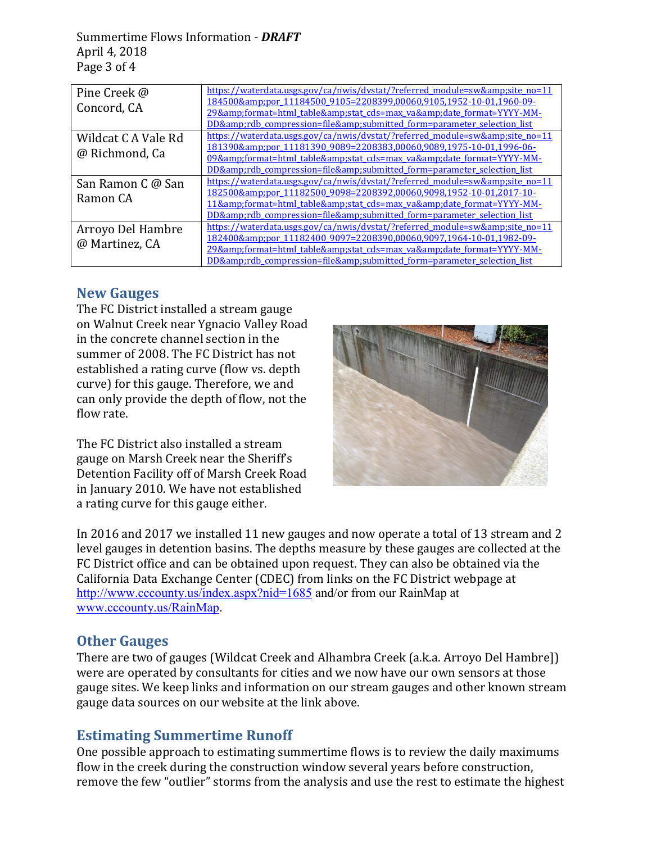Summertime Flows Information - *DRAFT* April 4, 2018 Page 3 of 4

| Pine Creek@<br>Concord, CA            | https://waterdata.usgs.gov/ca/nwis/dystat/?referred_module=sw&site_no=11<br>184500&por 11184500 9105=2208399,00060,9105,1952-10-01,1960-09-<br>29&:format=html table&:stat cds=max va&:date format=YYYY-MM-                                                                    |
|---------------------------------------|--------------------------------------------------------------------------------------------------------------------------------------------------------------------------------------------------------------------------------------------------------------------------------|
|                                       | DD&rdb compression=file&submitted form=parameter selection list                                                                                                                                                                                                                |
| Wildcat C A Vale Rd<br>@ Richmond, Ca | https://waterdata.usgs.gov/ca/nwis/dystat/?referred_module=sw&site_no=11<br>181390&por 11181390 9089=2208383,00060,9089,1975-10-01,1996-06-<br>09&format=html table&stat cds=max va&date format=YYYY-MM-<br>DD&rdb_compression=file&submitted_form=parameter_selection_list    |
| San Ramon C @ San<br>Ramon CA         | https://waterdata.usgs.gov/ca/nwis/dvstat/?referred module=sw&site no=11<br>182500&por 11182500 9098=2208392,00060,9098,1952-10-01,2017-10-<br>11&:format=html table&:stat cds=max va&:date format=YYYY-MM-<br>DD&rdb compression=file&submitted form=parameter selection list |
| Arroyo Del Hambre<br>@ Martinez, CA   | https://waterdata.usgs.gov/ca/nwis/dvstat/?referred module=sw&site no=11<br>182400&por 11182400 9097=2208390,00060,9097,1964-10-01,1982-09-<br>29&format=html table&stat cds=max va&date format=YYYY-MM-<br>DD&rdb compression=file&submitted form=parameter selection list    |

#### **New Gauges**

The FC District installed a stream gauge on Walnut Creek near Ygnacio Valley Road in the concrete channel section in the summer of 2008. The FC District has not established a rating curve (flow vs. depth curve) for this gauge. Therefore, we and can only provide the depth of flow, not the flow rate.

The FC District also installed a stream gauge on Marsh Creek near the Sheriff's Detention Facility off of Marsh Creek Road in January 2010. We have not established a rating curve for this gauge either.



In 2016 and 2017 we installed 11 new gauges and now operate a total of 13 stream and 2 level gauges in detention basins. The depths measure by these gauges are collected at the FC District office and can be obtained upon request. They can also be obtained via the California Data Exchange Center (CDEC) from links on the FC District webpage at <http://www.cccounty.us/index.aspx?nid=1685> and/or from our RainMap at [www.cccounty.us/RainMap.](http://www.cccounty.us/RainMap)

#### **Other Gauges**

There are two of gauges (Wildcat Creek and Alhambra Creek (a.k.a. Arroyo Del Hambre]) were are operated by consultants for cities and we now have our own sensors at those gauge sites. We keep links and information on our stream gauges and other known stream gauge data sources on our website at the link above.

#### **Estimating Summertime Runoff**

One possible approach to estimating summertime flows is to review the daily maximums flow in the creek during the construction window several years before construction, remove the few "outlier" storms from the analysis and use the rest to estimate the highest